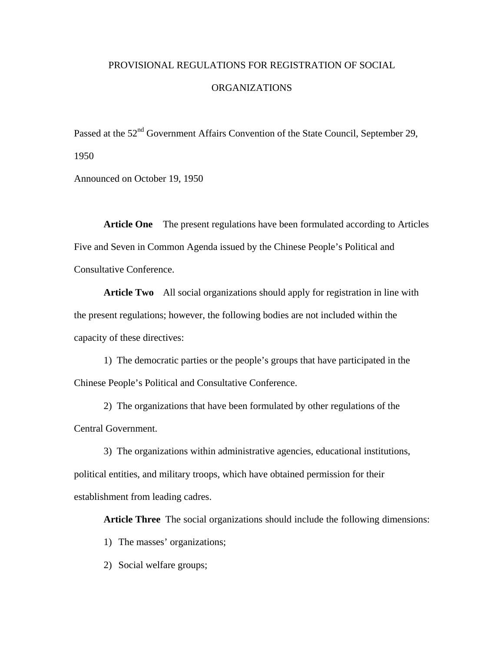## PROVISIONAL REGULATIONS FOR REGISTRATION OF SOCIAL

## ORGANIZATIONS

Passed at the 52<sup>nd</sup> Government Affairs Convention of the State Council, September 29, 1950

Announced on October 19, 1950

**Article One** The present regulations have been formulated according to Articles Five and Seven in Common Agenda issued by the Chinese People's Political and Consultative Conference.

**Article Two** All social organizations should apply for registration in line with the present regulations; however, the following bodies are not included within the capacity of these directives:

1) The democratic parties or the people's groups that have participated in the Chinese People's Political and Consultative Conference.

 2) The organizations that have been formulated by other regulations of the Central Government.

 3) The organizations within administrative agencies, educational institutions, political entities, and military troops, which have obtained permission for their establishment from leading cadres.

**Article Three** The social organizations should include the following dimensions:

1) The masses' organizations;

2) Social welfare groups;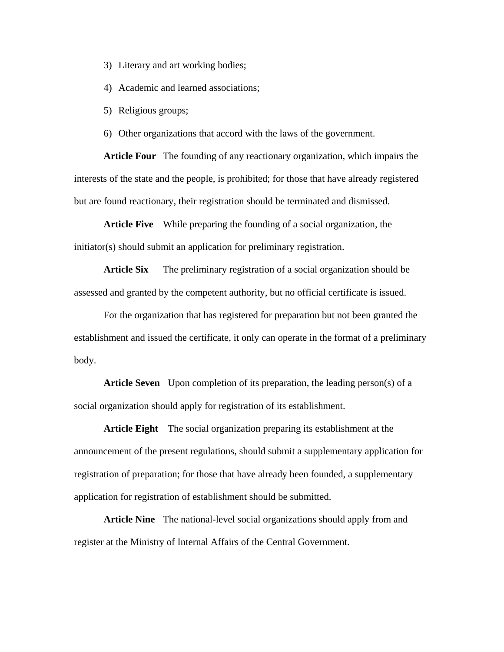- 3) Literary and art working bodies;
- 4) Academic and learned associations;
- 5) Religious groups;

6) Other organizations that accord with the laws of the government.

**Article Four** The founding of any reactionary organization, which impairs the interests of the state and the people, is prohibited; for those that have already registered but are found reactionary, their registration should be terminated and dismissed.

**Article Five** While preparing the founding of a social organization, the initiator(s) should submit an application for preliminary registration.

**Article Six** The preliminary registration of a social organization should be assessed and granted by the competent authority, but no official certificate is issued.

For the organization that has registered for preparation but not been granted the establishment and issued the certificate, it only can operate in the format of a preliminary body.

**Article Seven** Upon completion of its preparation, the leading person(s) of a social organization should apply for registration of its establishment.

**Article Eight** The social organization preparing its establishment at the announcement of the present regulations, should submit a supplementary application for registration of preparation; for those that have already been founded, a supplementary application for registration of establishment should be submitted.

**Article Nine** The national-level social organizations should apply from and register at the Ministry of Internal Affairs of the Central Government.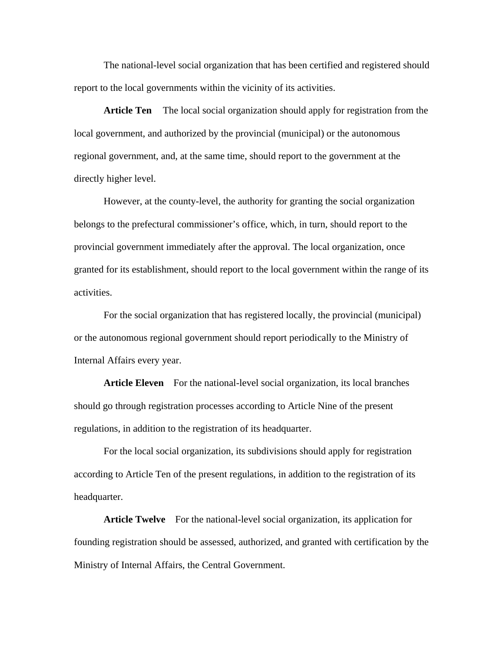The national-level social organization that has been certified and registered should report to the local governments within the vicinity of its activities.

**Article Ten** The local social organization should apply for registration from the local government, and authorized by the provincial (municipal) or the autonomous regional government, and, at the same time, should report to the government at the directly higher level.

However, at the county-level, the authority for granting the social organization belongs to the prefectural commissioner's office, which, in turn, should report to the provincial government immediately after the approval. The local organization, once granted for its establishment, should report to the local government within the range of its activities.

For the social organization that has registered locally, the provincial (municipal) or the autonomous regional government should report periodically to the Ministry of Internal Affairs every year.

Article Eleven For the national-level social organization, its local branches should go through registration processes according to Article Nine of the present regulations, in addition to the registration of its headquarter.

For the local social organization, its subdivisions should apply for registration according to Article Ten of the present regulations, in addition to the registration of its headquarter.

**Article Twelve** For the national-level social organization, its application for founding registration should be assessed, authorized, and granted with certification by the Ministry of Internal Affairs, the Central Government.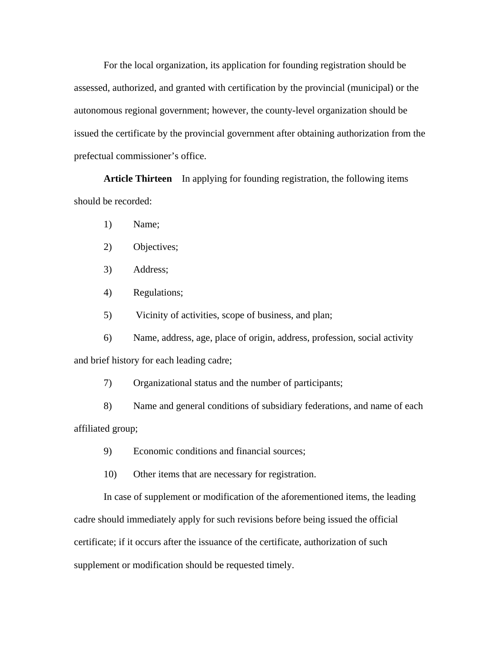For the local organization, its application for founding registration should be assessed, authorized, and granted with certification by the provincial (municipal) or the autonomous regional government; however, the county-level organization should be issued the certificate by the provincial government after obtaining authorization from the prefectual commissioner's office.

**Article Thirteen** In applying for founding registration, the following items should be recorded:

- 1) Name;
- 2) Objectives;
- 3) Address;
- 4) Regulations;
- 5) Vicinity of activities, scope of business, and plan;

6) Name, address, age, place of origin, address, profession, social activity and brief history for each leading cadre;

7) Organizational status and the number of participants;

8) Name and general conditions of subsidiary federations, and name of each affiliated group;

- 9) Economic conditions and financial sources;
- 10) Other items that are necessary for registration.

In case of supplement or modification of the aforementioned items, the leading cadre should immediately apply for such revisions before being issued the official certificate; if it occurs after the issuance of the certificate, authorization of such supplement or modification should be requested timely.